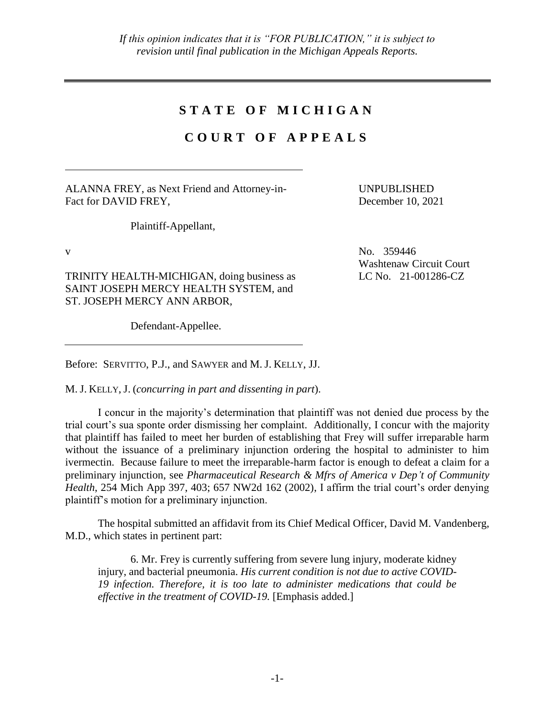## **S T A T E O F M I C H I G A N**

## **C O U R T O F A P P E A L S**

ALANNA FREY, as Next Friend and Attorney-in-Fact for DAVID FREY,

UNPUBLISHED December 10, 2021

Plaintiff-Appellant,

TRINITY HEALTH-MICHIGAN, doing business as SAINT JOSEPH MERCY HEALTH SYSTEM, and ST. JOSEPH MERCY ANN ARBOR,

Defendant-Appellee.

Before: SERVITTO, P.J., and SAWYER and M. J. KELLY, JJ.

M. J. KELLY, J. (*concurring in part and dissenting in part*).

I concur in the majority's determination that plaintiff was not denied due process by the trial court's sua sponte order dismissing her complaint. Additionally, I concur with the majority that plaintiff has failed to meet her burden of establishing that Frey will suffer irreparable harm without the issuance of a preliminary injunction ordering the hospital to administer to him ivermectin. Because failure to meet the irreparable-harm factor is enough to defeat a claim for a preliminary injunction, see *Pharmaceutical Research & Mfrs of America v Dep't of Community Health*, 254 Mich App 397, 403; 657 NW2d 162 (2002), I affirm the trial court's order denying plaintiff's motion for a preliminary injunction.

The hospital submitted an affidavit from its Chief Medical Officer, David M. Vandenberg, M.D., which states in pertinent part:

6. Mr. Frey is currently suffering from severe lung injury, moderate kidney injury, and bacterial pneumonia. *His current condition is not due to active COVID-19 infection. Therefore, it is too late to administer medications that could be effective in the treatment of COVID-19.* [Emphasis added.]

v No. 359446 Washtenaw Circuit Court LC No. 21-001286-CZ